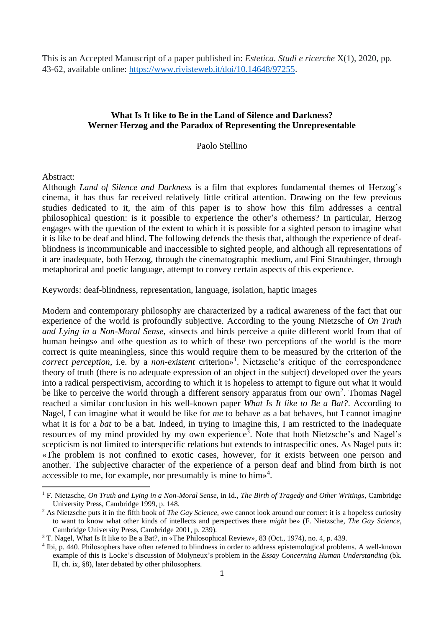# **What Is It like to Be in the Land of Silence and Darkness? Werner Herzog and the Paradox of Representing the Unrepresentable**

Paolo Stellino

Abstract:

Although *Land of Silence and Darkness* is a film that explores fundamental themes of Herzog's cinema, it has thus far received relatively little critical attention. Drawing on the few previous studies dedicated to it, the aim of this paper is to show how this film addresses a central philosophical question: is it possible to experience the other's otherness? In particular, Herzog engages with the question of the extent to which it is possible for a sighted person to imagine what it is like to be deaf and blind. The following defends the thesis that, although the experience of deafblindness is incommunicable and inaccessible to sighted people, and although all representations of it are inadequate, both Herzog, through the cinematographic medium, and Fini Straubinger, through metaphorical and poetic language, attempt to convey certain aspects of this experience.

Keywords: deaf-blindness, representation, language, isolation, haptic images

Modern and contemporary philosophy are characterized by a radical awareness of the fact that our experience of the world is profoundly subjective. According to the young Nietzsche of *On Truth and Lying in a Non-Moral Sense*, «insects and birds perceive a quite different world from that of human beings» and «the question as to which of these two perceptions of the world is the more correct is quite meaningless, since this would require them to be measured by the criterion of the *correct perception*, i.e. by a *non-existent* criterion»<sup>1</sup>. Nietzsche's critique of the correspondence theory of truth (there is no adequate expression of an object in the subject) developed over the years into a radical perspectivism, according to which it is hopeless to attempt to figure out what it would be like to perceive the world through a different sensory apparatus from our own<sup>2</sup>. Thomas Nagel reached a similar conclusion in his well-known paper *What Is It like to Be a Bat?*. According to Nagel, I can imagine what it would be like for *me* to behave as a bat behaves, but I cannot imagine what it is for a *bat* to be a bat. Indeed, in trying to imagine this, I am restricted to the inadequate resources of my mind provided by my own experience<sup>3</sup>. Note that both Nietzsche's and Nagel's scepticism is not limited to interspecific relations but extends to intraspecific ones. As Nagel puts it: «The problem is not confined to exotic cases, however, for it exists between one person and another. The subjective character of the experience of a person deaf and blind from birth is not accessible to me, for example, nor presumably is mine to him» 4 .

<sup>1</sup> F. Nietzsche, *On Truth and Lying in a Non-Moral Sense*, in Id., *The Birth of Tragedy and Other Writings*, Cambridge University Press, Cambridge 1999, p. 148.

<sup>2</sup> As Nietzsche puts it in the fifth book of *The Gay Science*, «we cannot look around our corner: it is a hopeless curiosity to want to know what other kinds of intellects and perspectives there *might* be» (F. Nietzsche, *The Gay Science*, Cambridge University Press, Cambridge 2001, p. 239).

<sup>3</sup> T. Nagel, What Is It like to Be a Bat?, in «The Philosophical Review», 83 (Oct., 1974), no. 4, p. 439.

<sup>4</sup> Ibi, p. 440. Philosophers have often referred to blindness in order to address epistemological problems. A well-known example of this is Locke's discussion of Molyneux's problem in the *Essay Concerning Human Understanding* (bk. II, ch. ix, §8), later debated by other philosophers.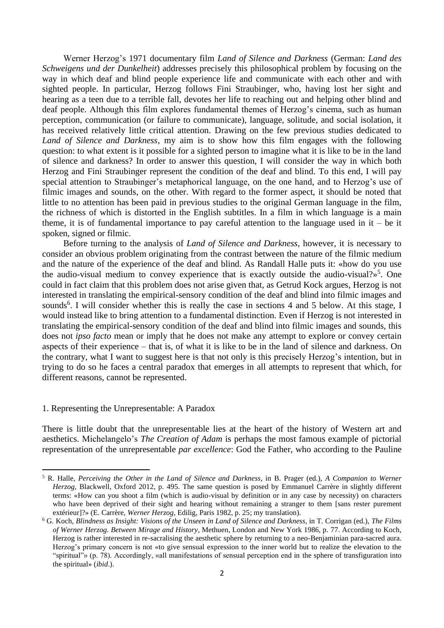Werner Herzog's 1971 documentary film *Land of Silence and Darkness* (German: *Land des Schweigens und der Dunkelheit*) addresses precisely this philosophical problem by focusing on the way in which deaf and blind people experience life and communicate with each other and with sighted people. In particular, Herzog follows Fini Straubinger, who, having lost her sight and hearing as a teen due to a terrible fall, devotes her life to reaching out and helping other blind and deaf people. Although this film explores fundamental themes of Herzog's cinema, such as human perception, communication (or failure to communicate), language, solitude, and social isolation, it has received relatively little critical attention. Drawing on the few previous studies dedicated to *Land of Silence and Darkness*, my aim is to show how this film engages with the following question: to what extent is it possible for a sighted person to imagine what it is like to be in the land of silence and darkness? In order to answer this question, I will consider the way in which both Herzog and Fini Straubinger represent the condition of the deaf and blind. To this end, I will pay special attention to Straubinger's metaphorical language, on the one hand, and to Herzog's use of filmic images and sounds, on the other. With regard to the former aspect, it should be noted that little to no attention has been paid in previous studies to the original German language in the film, the richness of which is distorted in the English subtitles. In a film in which language is a main theme, it is of fundamental importance to pay careful attention to the language used in  $it - be$  it spoken, signed or filmic.

Before turning to the analysis of *Land of Silence and Darkness*, however, it is necessary to consider an obvious problem originating from the contrast between the nature of the filmic medium and the nature of the experience of the deaf and blind. As Randall Halle puts it: «how do you use the audio-visual medium to convey experience that is exactly outside the audio-visual?»<sup>5</sup>. One could in fact claim that this problem does not arise given that, as Getrud Kock argues, Herzog is not interested in translating the empirical-sensory condition of the deaf and blind into filmic images and sounds<sup>6</sup>. I will consider whether this is really the case in sections 4 and 5 below. At this stage, I would instead like to bring attention to a fundamental distinction. Even if Herzog is not interested in translating the empirical-sensory condition of the deaf and blind into filmic images and sounds, this does not *ipso facto* mean or imply that he does not make any attempt to explore or convey certain aspects of their experience – that is, of what it is like to be in the land of silence and darkness. On the contrary, what I want to suggest here is that not only is this precisely Herzog's intention, but in trying to do so he faces a central paradox that emerges in all attempts to represent that which, for different reasons, cannot be represented.

### 1. Representing the Unrepresentable: A Paradox

There is little doubt that the unrepresentable lies at the heart of the history of Western art and aesthetics. Michelangelo's *The Creation of Adam* is perhaps the most famous example of pictorial representation of the unrepresentable *par excellence*: God the Father, who according to the Pauline

<sup>5</sup> R. Halle, *Perceiving the Other in the Land of Silence and Darkness*, in B. Prager (ed.), *A Companion to Werner Herzog*, Blackwell, Oxford 2012, p. 495. The same question is posed by Emmanuel Carrère in slightly different terms: «How can you shoot a film (which is audio-visual by definition or in any case by necessity) on characters who have been deprived of their sight and hearing without remaining a stranger to them [sans rester purement extérieur]?» (E. Carrère, *Werner Herzog*, Edilig, Paris 1982, p. 25; my translation).

<sup>6</sup> G. Koch, *Blindness as Insight: Visions of the Unseen in Land of Silence and Darkness*, in T. Corrigan (ed.), *The Films of Werner Herzog. Between Mirage and History*, Methuen, London and New York 1986, p. 77. According to Koch, Herzog is rather interested in re-sacralising the aesthetic sphere by returning to a neo-Benjaminian para-sacred aura. Herzog's primary concern is not «to give sensual expression to the inner world but to realize the elevation to the "spiritual"» (p. 78). Accordingly, «all manifestations of sensual perception end in the sphere of transfiguration into the spiritual» (*ibid*.).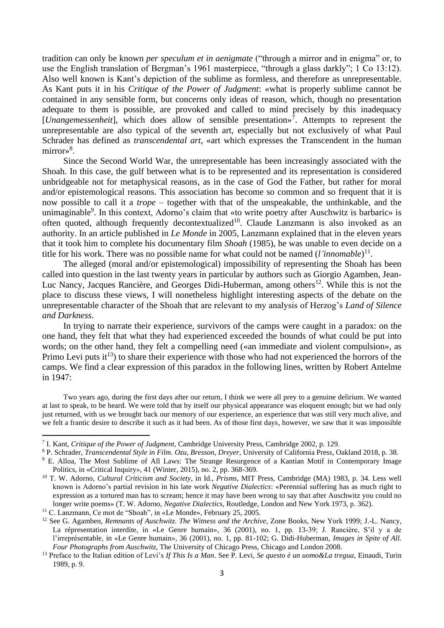tradition can only be known *per speculum et in aenigmate* ("through a mirror and in enigma" or, to use the English translation of Bergman's 1961 masterpiece, "through a glass darkly"; 1 Co 13:12). Also well known is Kant's depiction of the sublime as formless, and therefore as unrepresentable. As Kant puts it in his *Critique of the Power of Judgment*: «what is properly sublime cannot be contained in any sensible form, but concerns only ideas of reason, which, though no presentation adequate to them is possible, are provoked and called to mind precisely by this inadequacy [*Unangemessenheit*], which does allow of sensible presentation»<sup>7</sup>. Attempts to represent the unrepresentable are also typical of the seventh art, especially but not exclusively of what Paul Schrader has defined as *transcendental art*, «art which expresses the Transcendent in the human mirror»<sup>8</sup>.

Since the Second World War, the unrepresentable has been increasingly associated with the Shoah. In this case, the gulf between what is to be represented and its representation is considered unbridgeable not for metaphysical reasons, as in the case of God the Father, but rather for moral and/or epistemological reasons. This association has become so common and so frequent that it is now possible to call it a *trope* – together with that of the unspeakable, the unthinkable, and the unimaginable<sup>9</sup>. In this context, Adorno's claim that «to write poetry after Auschwitz is barbaric» is often quoted, although frequently decontextualized<sup>10</sup>. Claude Lanzmann is also invoked as an authority. In an article published in *Le Monde* in 2005, Lanzmann explained that in the eleven years that it took him to complete his documentary film *Shoah* (1985), he was unable to even decide on a title for his work. There was no possible name for what could not be named (*l'innomable*) 11 .

The alleged (moral and/or epistemological) impossibility of representing the Shoah has been called into question in the last twenty years in particular by authors such as Giorgio Agamben, Jean-Luc Nancy, Jacques Rancière, and Georges Didi-Huberman, among others<sup>12</sup>. While this is not the place to discuss these views, I will nonetheless highlight interesting aspects of the debate on the unrepresentable character of the Shoah that are relevant to my analysis of Herzog's *Land of Silence and Darkness*.

In trying to narrate their experience, survivors of the camps were caught in a paradox: on the one hand, they felt that what they had experienced exceeded the bounds of what could be put into words; on the other hand, they felt a compelling need («an immediate and violent compulsion», as Primo Levi puts  $it^{13}$  to share their experience with those who had not experienced the horrors of the camps. We find a clear expression of this paradox in the following lines, written by Robert Antelme in 1947:

Two years ago, during the first days after our return, I think we were all prey to a genuine delirium. We wanted at last to speak, to be heard. We were told that by itself our physical appearance was eloquent enough; but we had only just returned, with us we brought back our memory of our experience, an experience that was still very much alive, and we felt a frantic desire to describe it such as it had been. As of those first days, however, we saw that it was impossible

<sup>7</sup> I. Kant, *Critique of the Power of Judgment*, Cambridge University Press, Cambridge 2002, p. 129.

<sup>8</sup> P. Schrader, *Transcendental Style in Film. Ozu, Bresson, Dreyer*, University of California Press, Oakland 2018, p. 38.

<sup>&</sup>lt;sup>9</sup> E. Alloa, The Most Sublime of All Laws: The Strange Resurgence of a Kantian Motif in Contemporary Image Politics, in «Critical Inquiry», 41 (Winter, 2015), no. 2, pp. 368-369.

<sup>10</sup> T. W. Adorno, *Cultural Criticism and Society*, in Id., *Prisms*, MIT Press, Cambridge (MA) 1983, p. 34. Less well known is Adorno's partial revision in his late work *Negative Dialectics*: «Perennial suffering has as much right to expression as a tortured man has to scream; hence it may have been wrong to say that after Auschwitz you could no longer write poems» (T. W. Adorno, *Negative Dialectics*, Routledge, London and New York 1973, p. 362).

<sup>&</sup>lt;sup>11</sup> C. Lanzmann, Ce mot de "Shoah", in «Le Monde», February 25, 2005.

<sup>12</sup> See G. Agamben, *Remnants of Auschwitz. The Witness and the Archive*, Zone Books, New York 1999; J.-L. Nancy, La répresentation interdite, in «Le Genre humain», 36 (2001), no. 1, pp. 13-39; J. Rancière, S'il y a de l'irreprésentable, in «Le Genre humain», 36 (2001), no. 1, pp. 81-102; G. Didi-Huberman, *Images in Spite of All. Four Photographs from Auschwitz*, The University of Chicago Press, Chicago and London 2008.

<sup>13</sup> Preface to the Italian edition of Levi's *If This Is a Man*. See P. Levi, *Se questo è un uomo&La tregua*, Einaudi, Turin 1989, p. 9.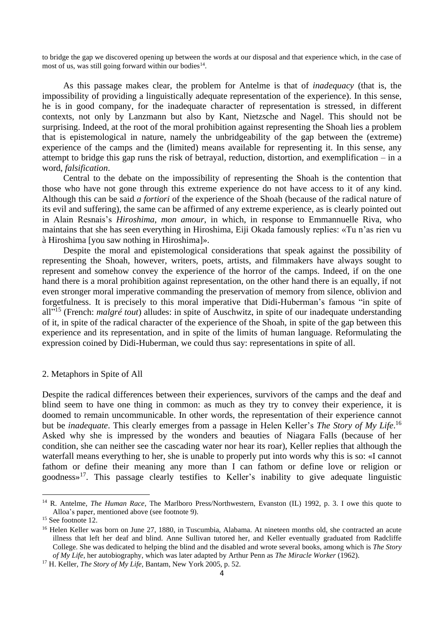to bridge the gap we discovered opening up between the words at our disposal and that experience which, in the case of most of us, was still going forward within our bodies $^{14}$ .

As this passage makes clear, the problem for Antelme is that of *inadequacy* (that is, the impossibility of providing a linguistically adequate representation of the experience). In this sense, he is in good company, for the inadequate character of representation is stressed, in different contexts, not only by Lanzmann but also by Kant, Nietzsche and Nagel. This should not be surprising. Indeed, at the root of the moral prohibition against representing the Shoah lies a problem that is epistemological in nature, namely the unbridgeability of the gap between the (extreme) experience of the camps and the (limited) means available for representing it. In this sense, any attempt to bridge this gap runs the risk of betrayal, reduction, distortion, and exemplification – in a word, *falsification*.

Central to the debate on the impossibility of representing the Shoah is the contention that those who have not gone through this extreme experience do not have access to it of any kind. Although this can be said *a fortiori* of the experience of the Shoah (because of the radical nature of its evil and suffering), the same can be affirmed of any extreme experience, as is clearly pointed out in Alain Resnais's *Hiroshima, mon amour*, in which, in response to Emmannuelle Riva, who maintains that she has seen everything in Hiroshima, Eiji Okada famously replies: «Tu n'as rien vu à Hiroshima [you saw nothing in Hiroshima]».

Despite the moral and epistemological considerations that speak against the possibility of representing the Shoah, however, writers, poets, artists, and filmmakers have always sought to represent and somehow convey the experience of the horror of the camps. Indeed, if on the one hand there is a moral prohibition against representation, on the other hand there is an equally, if not even stronger moral imperative commanding the preservation of memory from silence, oblivion and forgetfulness. It is precisely to this moral imperative that Didi-Huberman's famous "in spite of all" <sup>15</sup> (French: *malgré tout*) alludes: in spite of Auschwitz, in spite of our inadequate understanding of it, in spite of the radical character of the experience of the Shoah, in spite of the gap between this experience and its representation, and in spite of the limits of human language. Reformulating the expression coined by Didi-Huberman, we could thus say: representations in spite of all.

### 2. Metaphors in Spite of All

Despite the radical differences between their experiences, survivors of the camps and the deaf and blind seem to have one thing in common: as much as they try to convey their experience, it is doomed to remain uncommunicable. In other words, the representation of their experience cannot but be *inadequate*. This clearly emerges from a passage in Helen Keller's *The Story of My Life*. 16 Asked why she is impressed by the wonders and beauties of Niagara Falls (because of her condition, she can neither see the cascading water nor hear its roar), Keller replies that although the waterfall means everything to her, she is unable to properly put into words why this is so: «I cannot fathom or define their meaning any more than I can fathom or define love or religion or goodness» <sup>17</sup>. This passage clearly testifies to Keller's inability to give adequate linguistic

<sup>&</sup>lt;sup>14</sup> R. Antelme, *The Human Race*, The Marlboro Press/Northwestern, Evanston (IL) 1992, p. 3. I owe this quote to Alloa's paper, mentioned above (see footnote 9).

<sup>&</sup>lt;sup>15</sup> See footnote 12.

<sup>&</sup>lt;sup>16</sup> Helen Keller was born on June 27, 1880, in Tuscumbia, Alabama. At nineteen months old, she contracted an acute illness that left her deaf and blind. Anne Sullivan tutored her, and Keller eventually graduated from Radcliffe College. She was dedicated to helping the blind and the disabled and wrote several books, among which is *The Story of My Life*, her autobiography, which was later adapted by Arthur Penn as *The Miracle Worker* (1962).

<sup>17</sup> H. Keller, *The Story of My Life*, Bantam, New York 2005, p. 52.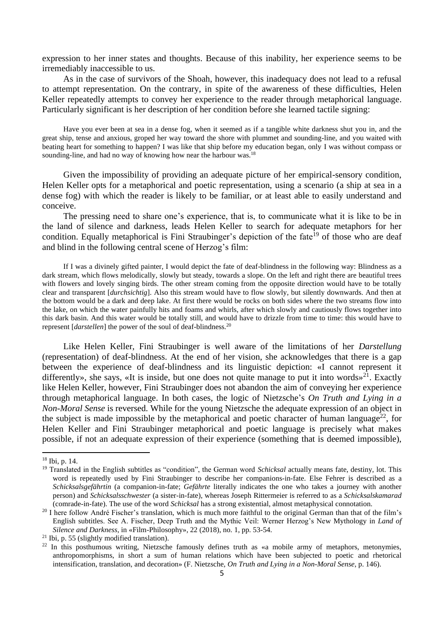expression to her inner states and thoughts. Because of this inability, her experience seems to be irremediably inaccessible to us.

As in the case of survivors of the Shoah, however, this inadequacy does not lead to a refusal to attempt representation. On the contrary, in spite of the awareness of these difficulties, Helen Keller repeatedly attempts to convey her experience to the reader through metaphorical language. Particularly significant is her description of her condition before she learned tactile signing:

Have you ever been at sea in a dense fog, when it seemed as if a tangible white darkness shut you in, and the great ship, tense and anxious, groped her way toward the shore with plummet and sounding-line, and you waited with beating heart for something to happen? I was like that ship before my education began, only I was without compass or sounding-line, and had no way of knowing how near the harbour was.<sup>18</sup>

Given the impossibility of providing an adequate picture of her empirical-sensory condition, Helen Keller opts for a metaphorical and poetic representation, using a scenario (a ship at sea in a dense fog) with which the reader is likely to be familiar, or at least able to easily understand and conceive.

The pressing need to share one's experience, that is, to communicate what it is like to be in the land of silence and darkness, leads Helen Keller to search for adequate metaphors for her condition. Equally metaphorical is Fini Straubinger's depiction of the fate<sup>19</sup> of those who are deaf and blind in the following central scene of Herzog's film:

If I was a divinely gifted painter, I would depict the fate of deaf-blindness in the following way: Blindness as a dark stream, which flows melodically, slowly but steady, towards a slope. On the left and right there are beautiful trees with flowers and lovely singing birds. The other stream coming from the opposite direction would have to be totally clear and transparent [*durchsichtig*]. Also this stream would have to flow slowly, but silently downwards. And then at the bottom would be a dark and deep lake. At first there would be rocks on both sides where the two streams flow into the lake, on which the water painfully hits and foams and whirls, after which slowly and cautiously flows together into this dark basin. And this water would be totally still, and would have to drizzle from time to time: this would have to represent [*darstellen*] the power of the soul of deaf-blindness.<sup>20</sup>

Like Helen Keller, Fini Straubinger is well aware of the limitations of her *Darstellung* (representation) of deaf-blindness. At the end of her vision, she acknowledges that there is a gap between the experience of deaf-blindness and its linguistic depiction: «I cannot represent it differently», she says, «It is inside, but one does not quite manage to put it into words»<sup>21</sup>. Exactly like Helen Keller, however, Fini Straubinger does not abandon the aim of conveying her experience through metaphorical language. In both cases, the logic of Nietzsche's *On Truth and Lying in a Non-Moral Sense* is reversed. While for the young Nietzsche the adequate expression of an object in the subject is made impossible by the metaphorical and poetic character of human language<sup>22</sup>, for Helen Keller and Fini Straubinger metaphorical and poetic language is precisely what makes possible, if not an adequate expression of their experience (something that is deemed impossible),

<sup>18</sup> Ibi, p. 14.

<sup>19</sup> Translated in the English subtitles as "condition", the German word *Schicksal* actually means fate, destiny, lot. This word is repeatedly used by Fini Straubinger to describe her companions-in-fate. Else Fehrer is described as a *Schicksalsgefährtin* (a companion-in-fate; *Gefährte* literally indicates the one who takes a journey with another person) and *Schicksalsschwester* (a sister-in-fate), whereas Joseph Rittermeier is referred to as a *Schicksalskamarad* (comrade-in-fate). The use of the word *Schicksal* has a strong existential, almost metaphysical connotation.

<sup>&</sup>lt;sup>20</sup> I here follow André Fischer's translation, which is much more faithful to the original German than that of the film's English subtitles. See A. Fischer, Deep Truth and the Mythic Veil: Werner Herzog's New Mythology in *Land of Silence and Darkness*, in «Film-Philosophy», 22 (2018), no. 1, pp. 53-54.

<sup>21</sup> Ibi, p. 55 (slightly modified translation).

 $^{22}$  In this posthumous writing, Nietzsche famously defines truth as «a mobile army of metaphors, metonymies, anthropomorphisms, in short a sum of human relations which have been subjected to poetic and rhetorical intensification, translation, and decoration» (F. Nietzsche, *On Truth and Lying in a Non-Moral Sense*, p. 146).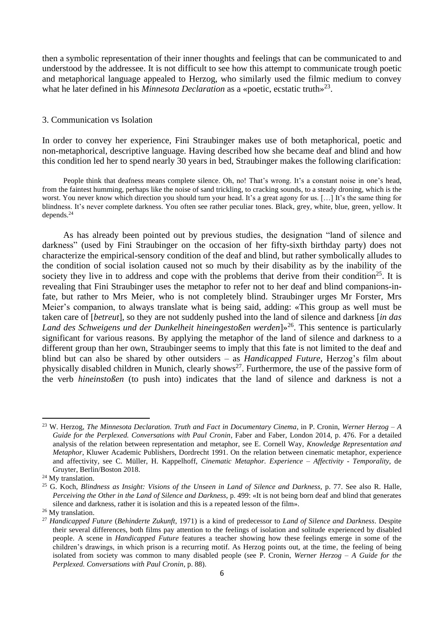then a symbolic representation of their inner thoughts and feelings that can be communicated to and understood by the addressee. It is not difficult to see how this attempt to communicate trough poetic and metaphorical language appealed to Herzog, who similarly used the filmic medium to convey what he later defined in his *Minnesota Declaration* as a «poetic, ecstatic truth»<sup>23</sup>.

## 3. Communication vs Isolation

In order to convey her experience, Fini Straubinger makes use of both metaphorical, poetic and non-metaphorical, descriptive language. Having described how she became deaf and blind and how this condition led her to spend nearly 30 years in bed, Straubinger makes the following clarification:

People think that deafness means complete silence. Oh, no! That's wrong. It's a constant noise in one's head, from the faintest humming, perhaps like the noise of sand trickling, to cracking sounds, to a steady droning, which is the worst. You never know which direction you should turn your head. It's a great agony for us. […] It's the same thing for blindness. It's never complete darkness. You often see rather peculiar tones. Black, grey, white, blue, green, yellow. It depends.<sup>24</sup>

As has already been pointed out by previous studies, the designation "land of silence and darkness" (used by Fini Straubinger on the occasion of her fifty-sixth birthday party) does not characterize the empirical-sensory condition of the deaf and blind, but rather symbolically alludes to the condition of social isolation caused not so much by their disability as by the inability of the society they live in to address and cope with the problems that derive from their condition<sup>25</sup>. It is revealing that Fini Straubinger uses the metaphor to refer not to her deaf and blind companions-infate, but rather to Mrs Meier, who is not completely blind. Straubinger urges Mr Forster, Mrs Meier's companion, to always translate what is being said, adding: «This group as well must be taken care of [*betreut*], so they are not suddenly pushed into the land of silence and darkness [*in das*  Land des Schweigens und der Dunkelheit hineingestoßen werden]»<sup>26</sup>. This sentence is particularly significant for various reasons. By applying the metaphor of the land of silence and darkness to a different group than her own, Straubinger seems to imply that this fate is not limited to the deaf and blind but can also be shared by other outsiders – as *Handicapped Future*, Herzog's film about physically disabled children in Munich, clearly shows<sup>27</sup>. Furthermore, the use of the passive form of the verb *hineinstoßen* (to push into) indicates that the land of silence and darkness is not a

<sup>23</sup> W. Herzog, *The Minnesota Declaration. Truth and Fact in Documentary Cinema*, in P. Cronin, *Werner Herzog – A Guide for the Perplexed. Conversations with Paul Cronin*, Faber and Faber, London 2014, p. 476. For a detailed analysis of the relation between representation and metaphor, see E. Cornell Way, *Knowledge Representation and Metaphor*, Kluwer Academic Publishers, Dordrecht 1991. On the relation between cinematic metaphor, experience and affectivity, see C. Müller, H. Kappelhoff, *Cinematic Metaphor. Experience – Affectivity - Temporality*, de Gruyter, Berlin/Boston 2018.

<sup>&</sup>lt;sup>24</sup> My translation.

<sup>25</sup> G. Koch, *Blindness as Insight: Visions of the Unseen in Land of Silence and Darkness*, p. 77. See also R. Halle, *Perceiving the Other in the Land of Silence and Darkness*, p. 499: «It is not being born deaf and blind that generates silence and darkness, rather it is isolation and this is a repeated lesson of the film».

<sup>&</sup>lt;sup>26</sup> My translation.

<sup>27</sup> *Handicapped Future* (*Behinderte Zukunft*, 1971) is a kind of predecessor to *Land of Silence and Darkness*. Despite their several differences, both films pay attention to the feelings of isolation and solitude experienced by disabled people. A scene in *Handicapped Future* features a teacher showing how these feelings emerge in some of the children's drawings, in which prison is a recurring motif. As Herzog points out, at the time, the feeling of being isolated from society was common to many disabled people (see P. Cronin, *Werner Herzog – A Guide for the Perplexed. Conversations with Paul Cronin*, p. 88).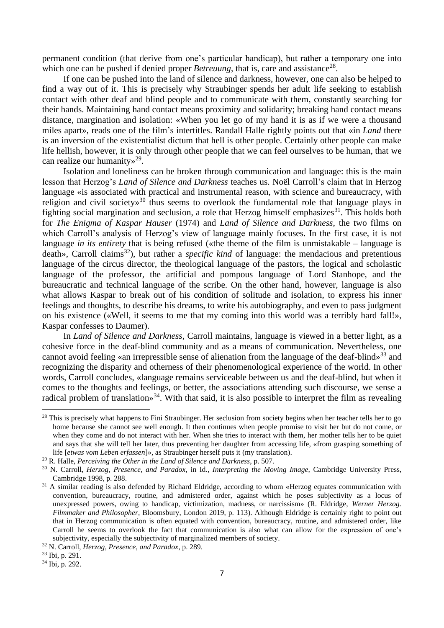permanent condition (that derive from one's particular handicap), but rather a temporary one into which one can be pushed if denied proper *Betreuung*, that is, care and assistance<sup>28</sup>.

If one can be pushed into the land of silence and darkness, however, one can also be helped to find a way out of it. This is precisely why Straubinger spends her adult life seeking to establish contact with other deaf and blind people and to communicate with them, constantly searching for their hands. Maintaining hand contact means proximity and solidarity; breaking hand contact means distance, margination and isolation: «When you let go of my hand it is as if we were a thousand miles apart», reads one of the film's intertitles. Randall Halle rightly points out that «in *Land* there is an inversion of the existentialist dictum that hell is other people. Certainly other people can make life hellish, however, it is only through other people that we can feel ourselves to be human, that we can realize our humanity»<sup>29</sup>.

Isolation and loneliness can be broken through communication and language: this is the main lesson that Herzog's *Land of Silence and Darkness* teaches us. Noël Carroll's claim that in Herzog language «is associated with practical and instrumental reason, with science and bureaucracy, with religion and civil society»<sup>30</sup> thus seems to overlook the fundamental role that language plays in fighting social margination and seclusion, a role that Herzog himself emphasizes<sup>31</sup>. This holds both for *The Enigma of Kaspar Hauser* (1974) and *Land of Silence and Darkness*, the two films on which Carroll's analysis of Herzog's view of language mainly focuses. In the first case, it is not language *in its entirety* that is being refused («the theme of the film is unmistakable – language is death», Carroll claims<sup>32</sup>), but rather a *specific kind* of language: the mendacious and pretentious language of the circus director, the theological language of the pastors, the logical and scholastic language of the professor, the artificial and pompous language of Lord Stanhope, and the bureaucratic and technical language of the scribe. On the other hand, however, language is also what allows Kaspar to break out of his condition of solitude and isolation, to express his inner feelings and thoughts, to describe his dreams, to write his autobiography, and even to pass judgment on his existence («Well, it seems to me that my coming into this world was a terribly hard fall!», Kaspar confesses to Daumer).

In *Land of Silence and Darkness*, Carroll maintains, language is viewed in a better light, as a cohesive force in the deaf-blind community and as a means of communication. Nevertheless, one cannot avoid feeling «an irrepressible sense of alienation from the language of the deaf-blind»<sup>33</sup> and recognizing the disparity and otherness of their phenomenological experience of the world. In other words, Carroll concludes, «language remains serviceable between us and the deaf-blind, but when it comes to the thoughts and feelings, or better, the associations attending such discourse, we sense a radical problem of translation»<sup>34</sup>. With that said, it is also possible to interpret the film as revealing

<sup>&</sup>lt;sup>28</sup> This is precisely what happens to Fini Straubinger. Her seclusion from society begins when her teacher tells her to go home because she cannot see well enough. It then continues when people promise to visit her but do not come, or when they come and do not interact with her. When she tries to interact with them, her mother tells her to be quiet and says that she will tell her later, thus preventing her daughter from accessing life, «from grasping something of life [*etwas vom Leben erfassen*]», as Straubinger herself puts it (my translation).

<sup>29</sup> R. Halle, *Perceiving the Other in the Land of Silence and Darkness*, p. 507.

<sup>30</sup> N. Carroll, *Herzog, Presence, and Paradox*, in Id., *Interpreting the Moving Image*, Cambridge University Press, Cambridge 1998, p. 288.

<sup>&</sup>lt;sup>31</sup> A similar reading is also defended by Richard Eldridge, according to whom «Herzog equates communication with convention, bureaucracy, routine, and admistered order, against which he poses subjectivity as a locus of unexpressed powers, owing to handicap, victimization, madness, or narcissism» (R. Eldridge, *Werner Herzog. Filmmaker and Philosopher*, Bloomsbury, London 2019, p. 113). Although Eldridge is certainly right to point out that in Herzog communication is often equated with convention, bureaucracy, routine, and admistered order, like Carroll he seems to overlook the fact that communication is also what can allow for the expression of one's subjectivity, especially the subjectivity of marginalized members of society.

<sup>32</sup> N. Carroll, *Herzog, Presence, and Paradox*, p. 289.

<sup>33</sup> Ibi, p. 291.

<sup>34</sup> Ibi, p. 292.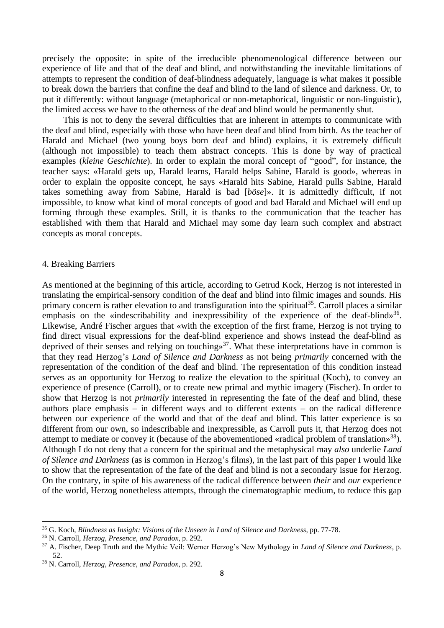precisely the opposite: in spite of the irreducible phenomenological difference between our experience of life and that of the deaf and blind, and notwithstanding the inevitable limitations of attempts to represent the condition of deaf-blindness adequately, language is what makes it possible to break down the barriers that confine the deaf and blind to the land of silence and darkness. Or, to put it differently: without language (metaphorical or non-metaphorical, linguistic or non-linguistic), the limited access we have to the otherness of the deaf and blind would be permanently shut.

This is not to deny the several difficulties that are inherent in attempts to communicate with the deaf and blind, especially with those who have been deaf and blind from birth. As the teacher of Harald and Michael (two young boys born deaf and blind) explains, it is extremely difficult (although not impossible) to teach them abstract concepts. This is done by way of practical examples (*kleine Geschichte*). In order to explain the moral concept of "good", for instance, the teacher says: «Harald gets up, Harald learns, Harald helps Sabine, Harald is good», whereas in order to explain the opposite concept, he says «Harald hits Sabine, Harald pulls Sabine, Harald takes something away from Sabine, Harald is bad [*böse*]». It is admittedly difficult, if not impossible, to know what kind of moral concepts of good and bad Harald and Michael will end up forming through these examples. Still, it is thanks to the communication that the teacher has established with them that Harald and Michael may some day learn such complex and abstract concepts as moral concepts.

### 4. Breaking Barriers

As mentioned at the beginning of this article, according to Getrud Kock, Herzog is not interested in translating the empirical-sensory condition of the deaf and blind into filmic images and sounds. His primary concern is rather elevation to and transfiguration into the spiritual<sup>35</sup>. Carroll places a similar emphasis on the «indescribability and inexpressibility of the experience of the deaf-blind»<sup>36</sup>. Likewise, André Fischer argues that «with the exception of the first frame, Herzog is not trying to find direct visual expressions for the deaf-blind experience and shows instead the deaf-blind as deprived of their senses and relying on touching  $x^{37}$ . What these interpretations have in common is that they read Herzog's *Land of Silence and Darkness* as not being *primarily* concerned with the representation of the condition of the deaf and blind. The representation of this condition instead serves as an opportunity for Herzog to realize the elevation to the spiritual (Koch), to convey an experience of presence (Carroll), or to create new primal and mythic imagery (Fischer). In order to show that Herzog is not *primarily* interested in representing the fate of the deaf and blind, these authors place emphasis – in different ways and to different extents – on the radical difference between our experience of the world and that of the deaf and blind. This latter experience is so different from our own, so indescribable and inexpressible, as Carroll puts it, that Herzog does not attempt to mediate or convey it (because of the abovementioned «radical problem of translation»<sup>38</sup>). Although I do not deny that a concern for the spiritual and the metaphysical may *also* underlie *Land of Silence and Darkness* (as is common in Herzog's films), in the last part of this paper I would like to show that the representation of the fate of the deaf and blind is not a secondary issue for Herzog. On the contrary, in spite of his awareness of the radical difference between *their* and *our* experience of the world, Herzog nonetheless attempts, through the cinematographic medium, to reduce this gap

<sup>35</sup> G. Koch, *Blindness as Insight: Visions of the Unseen in Land of Silence and Darkness*, pp. 77-78.

<sup>36</sup> N. Carroll, *Herzog, Presence, and Paradox*, p. 292.

<sup>37</sup> A. Fischer, Deep Truth and the Mythic Veil: Werner Herzog's New Mythology in *Land of Silence and Darkness*, p. 52.

<sup>38</sup> N. Carroll, *Herzog, Presence, and Paradox*, p. 292.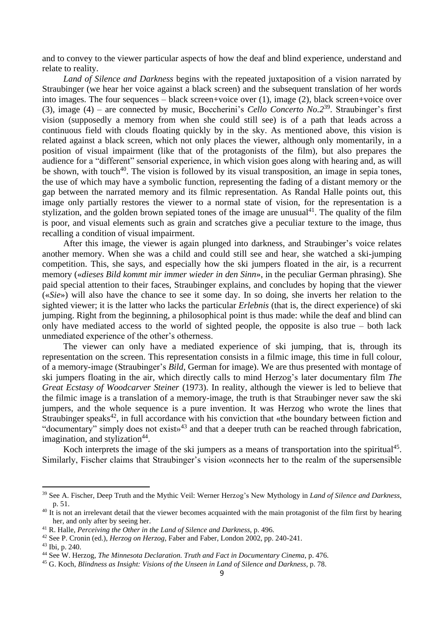and to convey to the viewer particular aspects of how the deaf and blind experience, understand and relate to reality.

*Land of Silence and Darkness* begins with the repeated juxtaposition of a vision narrated by Straubinger (we hear her voice against a black screen) and the subsequent translation of her words into images. The four sequences – black screen+voice over (1), image (2), black screen+voice over (3), image (4) – are connected by music, Boccherini's *Cello Concerto No.2*<sup>39</sup> . Straubinger's first vision (supposedly a memory from when she could still see) is of a path that leads across a continuous field with clouds floating quickly by in the sky. As mentioned above, this vision is related against a black screen, which not only places the viewer, although only momentarily, in a position of visual impairment (like that of the protagonists of the film), but also prepares the audience for a "different" sensorial experience, in which vision goes along with hearing and, as will be shown, with touch<sup>40</sup>. The vision is followed by its visual transposition, an image in sepia tones, the use of which may have a symbolic function, representing the fading of a distant memory or the gap between the narrated memory and its filmic representation. As Randal Halle points out, this image only partially restores the viewer to a normal state of vision, for the representation is a stylization, and the golden brown sepiated tones of the image are unusual<sup>41</sup>. The quality of the film is poor, and visual elements such as grain and scratches give a peculiar texture to the image, thus recalling a condition of visual impairment.

After this image, the viewer is again plunged into darkness, and Straubinger's voice relates another memory. When she was a child and could still see and hear, she watched a ski-jumping competition. This, she says, and especially how the ski jumpers floated in the air, is a recurrent memory («*dieses Bild kommt mir immer wieder in den Sinn*», in the peculiar German phrasing). She paid special attention to their faces, Straubinger explains, and concludes by hoping that the viewer («*Sie*») will also have the chance to see it some day. In so doing, she inverts her relation to the sighted viewer; it is the latter who lacks the particular *Erlebnis* (that is, the direct experience) of ski jumping. Right from the beginning, a philosophical point is thus made: while the deaf and blind can only have mediated access to the world of sighted people, the opposite is also true – both lack unmediated experience of the other's otherness.

The viewer can only have a mediated experience of ski jumping, that is, through its representation on the screen. This representation consists in a filmic image, this time in full colour, of a memory-image (Straubinger's *Bild*, German for image). We are thus presented with montage of ski jumpers floating in the air, which directly calls to mind Herzog's later documentary film *The Great Ecstasy of Woodcarver Steiner* (1973). In reality, although the viewer is led to believe that the filmic image is a translation of a memory-image, the truth is that Straubinger never saw the ski jumpers, and the whole sequence is a pure invention. It was Herzog who wrote the lines that Straubinger speaks<sup>42</sup>, in full accordance with his conviction that «the boundary between fiction and "documentary" simply does not exists<sup>43</sup> and that a deeper truth can be reached through fabrication, imagination, and stylization<sup>44</sup>.

Koch interprets the image of the ski jumpers as a means of transportation into the spiritual<sup>45</sup>. Similarly, Fischer claims that Straubinger's vision «connects her to the realm of the supersensible

<sup>39</sup> See A. Fischer, Deep Truth and the Mythic Veil: Werner Herzog's New Mythology in *Land of Silence and Darkness*, p. 51.

<sup>&</sup>lt;sup>40</sup> It is not an irrelevant detail that the viewer becomes acquainted with the main protagonist of the film first by hearing her, and only after by seeing her.

<sup>41</sup> R. Halle, *Perceiving the Other in the Land of Silence and Darkness*, p. 496.

<sup>42</sup> See P. Cronin (ed.), *Herzog on Herzog*, Faber and Faber, London 2002, pp. 240-241.

<sup>43</sup> Ibi, p. 240.

<sup>44</sup> See W. Herzog, *The Minnesota Declaration. Truth and Fact in Documentary Cinema*, p. 476.

<sup>45</sup> G. Koch, *Blindness as Insight: Visions of the Unseen in Land of Silence and Darkness*, p. 78.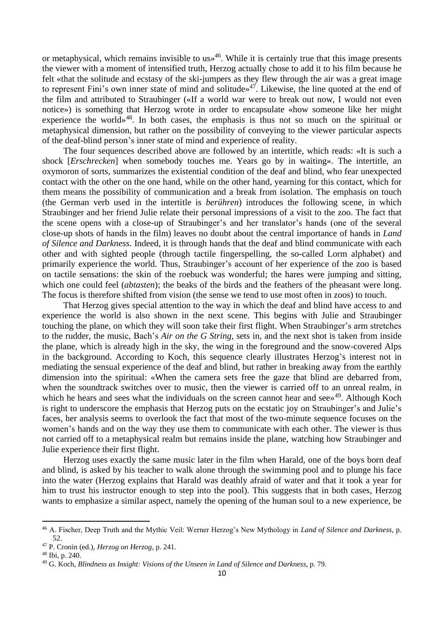or metaphysical, which remains invisible to  $us<sup>46</sup>$ . While it is certainly true that this image presents the viewer with a moment of intensified truth, Herzog actually chose to add it to his film because he felt «that the solitude and ecstasy of the ski-jumpers as they flew through the air was a great image to represent Fini's own inner state of mind and solitude»<sup>47</sup>. Likewise, the line quoted at the end of the film and attributed to Straubinger («If a world war were to break out now, I would not even notice») is something that Herzog wrote in order to encapsulate «how someone like her might experience the world»<sup>48</sup>. In both cases, the emphasis is thus not so much on the spiritual or metaphysical dimension, but rather on the possibility of conveying to the viewer particular aspects of the deaf-blind person's inner state of mind and experience of reality.

The four sequences described above are followed by an intertitle, which reads: «It is such a shock [*Erschrecken*] when somebody touches me. Years go by in waiting». The intertitle, an oxymoron of sorts, summarizes the existential condition of the deaf and blind, who fear unexpected contact with the other on the one hand, while on the other hand, yearning for this contact, which for them means the possibility of communication and a break from isolation. The emphasis on touch (the German verb used in the intertitle is *berühren*) introduces the following scene, in which Straubinger and her friend Julie relate their personal impressions of a visit to the zoo. The fact that the scene opens with a close-up of Straubinger's and her translator's hands (one of the several close-up shots of hands in the film) leaves no doubt about the central importance of hands in *Land of Silence and Darkness*. Indeed, it is through hands that the deaf and blind communicate with each other and with sighted people (through tactile fingerspelling, the so-called Lorm alphabet) and primarily experience the world. Thus, Straubinger's account of her experience of the zoo is based on tactile sensations: the skin of the roebuck was wonderful; the hares were jumping and sitting, which one could feel *(abtasten)*; the beaks of the birds and the feathers of the pheasant were long. The focus is therefore shifted from vision (the sense we tend to use most often in zoos) to touch.

That Herzog gives special attention to the way in which the deaf and blind have access to and experience the world is also shown in the next scene. This begins with Julie and Straubinger touching the plane, on which they will soon take their first flight. When Straubinger's arm stretches to the rudder, the music, Bach's *Air on the G String*, sets in, and the next shot is taken from inside the plane, which is already high in the sky, the wing in the foreground and the snow-covered Alps in the background. According to Koch, this sequence clearly illustrates Herzog's interest not in mediating the sensual experience of the deaf and blind, but rather in breaking away from the earthly dimension into the spiritual: «When the camera sets free the gaze that blind are debarred from, when the soundtrack switches over to music, then the viewer is carried off to an unreal realm, in which he hears and sees what the individuals on the screen cannot hear and see»<sup>49</sup>. Although Koch is right to underscore the emphasis that Herzog puts on the ecstatic joy on Straubinger's and Julie's faces, her analysis seems to overlook the fact that most of the two-minute sequence focuses on the women's hands and on the way they use them to communicate with each other. The viewer is thus not carried off to a metaphysical realm but remains inside the plane, watching how Straubinger and Julie experience their first flight.

Herzog uses exactly the same music later in the film when Harald, one of the boys born deaf and blind, is asked by his teacher to walk alone through the swimming pool and to plunge his face into the water (Herzog explains that Harald was deathly afraid of water and that it took a year for him to trust his instructor enough to step into the pool). This suggests that in both cases, Herzog wants to emphasize a similar aspect, namely the opening of the human soul to a new experience, be

<sup>46</sup> A. Fischer, Deep Truth and the Mythic Veil: Werner Herzog's New Mythology in *Land of Silence and Darkness*, p. 52.

<sup>47</sup> P. Cronin (ed.), *Herzog on Herzog*, p. 241.

<sup>48</sup> Ibi, p. 240.

<sup>49</sup> G. Koch, *Blindness as Insight: Visions of the Unseen in Land of Silence and Darkness*, p. 79.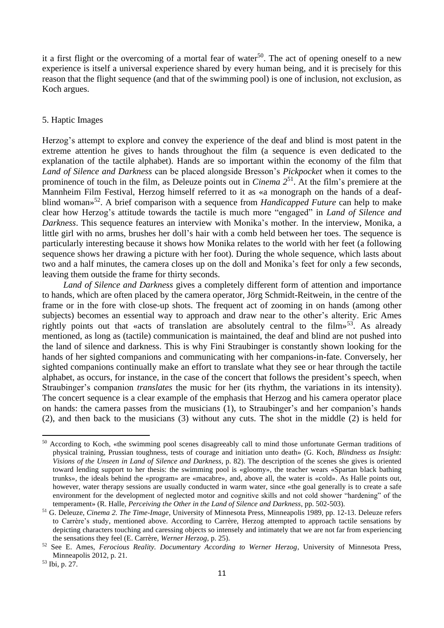it a first flight or the overcoming of a mortal fear of water<sup>50</sup>. The act of opening oneself to a new experience is itself a universal experience shared by every human being, and it is precisely for this reason that the flight sequence (and that of the swimming pool) is one of inclusion, not exclusion, as Koch argues.

### 5. Haptic Images

Herzog's attempt to explore and convey the experience of the deaf and blind is most patent in the extreme attention he gives to hands throughout the film (a sequence is even dedicated to the explanation of the tactile alphabet). Hands are so important within the economy of the film that *Land of Silence and Darkness* can be placed alongside Bresson's *Pickpocket* when it comes to the prominence of touch in the film, as Deleuze points out in *Cinema 2*<sup>51</sup> . At the film's premiere at the Mannheim Film Festival, Herzog himself referred to it as «a monograph on the hands of a deafblind woman»<sup>52</sup> . A brief comparison with a sequence from *Handicapped Future* can help to make clear how Herzog's attitude towards the tactile is much more "engaged" in *Land of Silence and Darkness*. This sequence features an interview with Monika's mother. In the interview, Monika, a little girl with no arms, brushes her doll's hair with a comb held between her toes. The sequence is particularly interesting because it shows how Monika relates to the world with her feet (a following sequence shows her drawing a picture with her foot). During the whole sequence, which lasts about two and a half minutes, the camera closes up on the doll and Monika's feet for only a few seconds, leaving them outside the frame for thirty seconds.

*Land of Silence and Darkness* gives a completely different form of attention and importance to hands, which are often placed by the camera operator, Jörg Schmidt-Reitwein, in the centre of the frame or in the fore with close-up shots. The frequent act of zooming in on hands (among other subjects) becomes an essential way to approach and draw near to the other's alterity. Eric Ames rightly points out that «acts of translation are absolutely central to the film»<sup>53</sup>. As already mentioned, as long as (tactile) communication is maintained, the deaf and blind are not pushed into the land of silence and darkness. This is why Fini Straubinger is constantly shown looking for the hands of her sighted companions and communicating with her companions-in-fate. Conversely, her sighted companions continually make an effort to translate what they see or hear through the tactile alphabet, as occurs, for instance, in the case of the concert that follows the president's speech, when Straubinger's companion *translates* the music for her (its rhythm, the variations in its intensity). The concert sequence is a clear example of the emphasis that Herzog and his camera operator place on hands: the camera passes from the musicians (1), to Straubinger's and her companion's hands (2), and then back to the musicians (3) without any cuts. The shot in the middle (2) is held for

<sup>50</sup> According to Koch, «the swimming pool scenes disagreeably call to mind those unfortunate German traditions of physical training, Prussian toughness, tests of courage and initiation unto death» (G. Koch, *Blindness as Insight: Visions of the Unseen in Land of Silence and Darkness*, p. 82). The description of the scenes she gives is oriented toward lending support to her thesis: the swimming pool is «gloomy», the teacher wears «Spartan black bathing trunks», the ideals behind the «program» are «macabre», and, above all, the water is «cold». As Halle points out, however, water therapy sessions are usually conducted in warm water, since «the goal generally is to create a safe environment for the development of neglected motor and cognitive skills and not cold shower "hardening" of the temperament» (R. Halle, *Perceiving the Other in the Land of Silence and Darkness*, pp. 502-503).

<sup>51</sup> G. Deleuze, *Cinema 2. The Time-Image*, University of Minnesota Press, Minneapolis 1989, pp. 12-13. Deleuze refers to Carrère's study, mentioned above. According to Carrère, Herzog attempted to approach tactile sensations by depicting characters touching and caressing objects so intensely and intimately that we are not far from experiencing the sensations they feel (E. Carrère, *Werner Herzog*, p. 25).

<sup>52</sup> See E. Ames, *Ferocious Reality. Documentary According to Werner Herzog*, University of Minnesota Press, Minneapolis 2012, p. 21.

<sup>53</sup> Ibi, p. 27.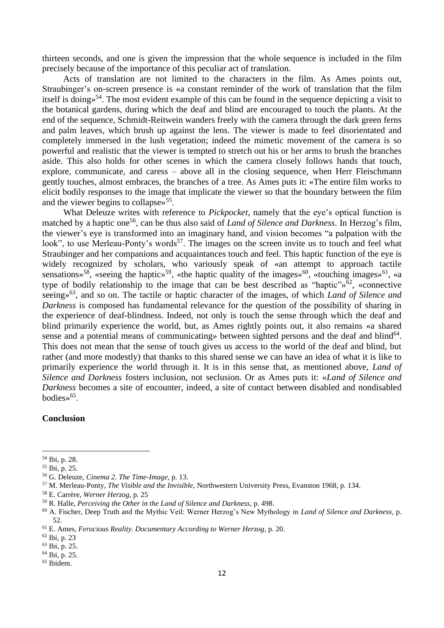thirteen seconds, and one is given the impression that the whole sequence is included in the film precisely because of the importance of this peculiar act of translation.

Acts of translation are not limited to the characters in the film. As Ames points out, Straubinger's on-screen presence is «a constant reminder of the work of translation that the film itself is doing»<sup>54</sup>. The most evident example of this can be found in the sequence depicting a visit to the botanical gardens, during which the deaf and blind are encouraged to touch the plants. At the end of the sequence, Schmidt-Reitwein wanders freely with the camera through the dark green ferns and palm leaves, which brush up against the lens. The viewer is made to feel disorientated and completely immersed in the lush vegetation; indeed the mimetic movement of the camera is so powerful and realistic that the viewer is tempted to stretch out his or her arms to brush the branches aside. This also holds for other scenes in which the camera closely follows hands that touch, explore, communicate, and caress – above all in the closing sequence, when Herr Fleischmann gently touches, almost embraces, the branches of a tree. As Ames puts it: «The entire film works to elicit bodily responses to the image that implicate the viewer so that the boundary between the film and the viewer begins to collapse»<sup>55</sup>.

What Deleuze writes with reference to *Pickpocket*, namely that the eye's optical function is matched by a haptic one<sup>56</sup>, can be thus also said of *Land of Silence and Darkness*. In Herzog's film, the viewer's eye is transformed into an imaginary hand, and vision becomes "a palpation with the look", to use Merleau-Ponty's words<sup>57</sup>. The images on the screen invite us to touch and feel what Straubinger and her companions and acquaintances touch and feel. This haptic function of the eye is widely recognized by scholars, who variously speak of «an attempt to approach tactile sensations»<sup>58</sup>, «seeing the haptic»<sup>59</sup>, «the haptic quality of the images»<sup>60</sup>, «touching images»<sup>61</sup>, «a type of bodily relationship to the image that can be best described as "haptic" $\delta^2$ , «connective seeing»<sup>63</sup>, and so on. The tactile or haptic character of the images, of which *Land of Silence and Darkness* is composed has fundamental relevance for the question of the possibility of sharing in the experience of deaf-blindness. Indeed, not only is touch the sense through which the deaf and blind primarily experience the world, but, as Ames rightly points out, it also remains «a shared sense and a potential means of communicating» between sighted persons and the deaf and blind<sup>64</sup>. This does not mean that the sense of touch gives us access to the world of the deaf and blind, but rather (and more modestly) that thanks to this shared sense we can have an idea of what it is like to primarily experience the world through it. It is in this sense that, as mentioned above, *Land of Silence and Darkness* fosters inclusion, not seclusion. Or as Ames puts it: «*Land of Silence and Darkness* becomes a site of encounter, indeed, a site of contact between disabled and nondisabled bodies»<sup>65</sup>.

#### **Conclusion**

<sup>54</sup> Ibi, p. 28.

<sup>55</sup> Ibi, p. 25.

<sup>56</sup> G. Deleuze, *Cinema 2. The Time-Image*, p. 13.

<sup>57</sup> M. Merleau-Ponty, *The Visible and the Invisible*, Northwestern University Press, Evanston 1968, p. 134.

<sup>58</sup> E. Carrère, *Werner Herzog*, p. 25

<sup>59</sup> R. Halle, *Perceiving the Other in the Land of Silence and Darkness*, p. 498.

<sup>60</sup> A. Fischer, Deep Truth and the Mythic Veil: Werner Herzog's New Mythology in *Land of Silence and Darkness*, p. 52.

<sup>61</sup> E. Ames, *Ferocious Reality. Documentary According to Werner Herzog*, p. 20.

<sup>62</sup> Ibi, p. 23

<sup>63</sup> Ibi, p. 25.

<sup>64</sup> Ibi, p. 25.

<sup>65</sup> Ibidem.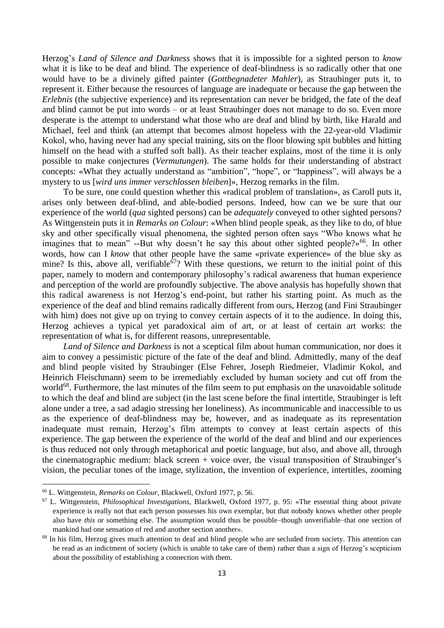Herzog's *Land of Silence and Darkness* shows that it is impossible for a sighted person to *know* what it is like to be deaf and blind. The experience of deaf-blindness is so radically other that one would have to be a divinely gifted painter (*Gottbegnadeter Mahler*), as Straubinger puts it, to represent it. Either because the resources of language are inadequate or because the gap between the *Erlebnis* (the subjective experience) and its representation can never be bridged, the fate of the deaf and blind cannot be put into words – or at least Straubinger does not manage to do so. Even more desperate is the attempt to understand what those who are deaf and blind by birth, like Harald and Michael, feel and think (an attempt that becomes almost hopeless with the 22-year-old Vladimir Kokol, who, having never had any special training, sits on the floor blowing spit bubbles and hitting himself on the head with a stuffed soft ball). As their teacher explains, most of the time it is only possible to make conjectures (*Vermutungen*). The same holds for their understanding of abstract concepts: «What they actually understand as "ambition", "hope", or "happiness", will always be a mystery to us [*wird uns immer verschlossen bleiben*]», Herzog remarks in the film.

To be sure, one could question whether this «radical problem of translation», as Caroll puts it, arises only between deaf-blind, and able-bodied persons. Indeed, how can we be sure that our experience of the world (*qua* sighted persons) can be *adequately* conveyed to other sighted persons? As Wittgenstein puts it in *Remarks on Colour*: «When blind people speak, as they like to do, of blue sky and other specifically visual phenomena, the sighted person often says "Who knows what he imagines that to mean" --But why doesn't he say this about other sighted people?»<sup>66</sup>. In other words, how can I *know* that other people have the same «private experience» of the blue sky as mine? Is this, above all, verifiable<sup>67</sup>? With these questions, we return to the initial point of this paper, namely to modern and contemporary philosophy's radical awareness that human experience and perception of the world are profoundly subjective. The above analysis has hopefully shown that this radical awareness is not Herzog's end-point, but rather his starting point. As much as the experience of the deaf and blind remains radically different from ours, Herzog (and Fini Straubinger with him) does not give up on trying to convey certain aspects of it to the audience. In doing this, Herzog achieves a typical yet paradoxical aim of art, or at least of certain art works: the representation of what is, for different reasons, unrepresentable.

*Land of Silence and Darkness* is not a sceptical film about human communication, nor does it aim to convey a pessimistic picture of the fate of the deaf and blind. Admittedly, many of the deaf and blind people visited by Straubinger (Else Fehrer, Joseph Riedmeier, Vladimir Kokol, and Heinrich Fleischmann) seem to be irremediably excluded by human society and cut off from the world<sup>68</sup>. Furthermore, the last minutes of the film seem to put emphasis on the unavoidable solitude to which the deaf and blind are subject (in the last scene before the final intertitle, Straubinger is left alone under a tree, a sad adagio stressing her loneliness). As incommunicable and inaccessible to us as the experience of deaf-blindness may be, however, and as inadequate as its representation inadequate must remain, Herzog's film attempts to convey at least certain aspects of this experience. The gap between the experience of the world of the deaf and blind and our experiences is thus reduced not only through metaphorical and poetic language, but also, and above all, through the cinematographic medium: black screen + voice over, the visual transposition of Straubinger's vision, the peculiar tones of the image, stylization, the invention of experience, intertitles, zooming

<sup>66</sup> L. Wittgenstein, *Remarks on Colour*, Blackwell, Oxford 1977, p. 56.

<sup>67</sup> L. Wittgenstein, *Philosophical Investigations*, Blackwell, Oxford 1977, p. 95: «The essential thing about private experience is really not that each person possesses his own exemplar, but that nobody knows whether other people also have *this* or something else. The assumption would thus be possible–though unverifiable–that one section of mankind had one sensation of red and another section another».

<sup>&</sup>lt;sup>68</sup> In his film, Herzog gives much attention to deaf and blind people who are secluded from society. This attention can be read as an indictment of society (which is unable to take care of them) rather than a sign of Herzog's scepticism about the possibility of establishing a connection with them.